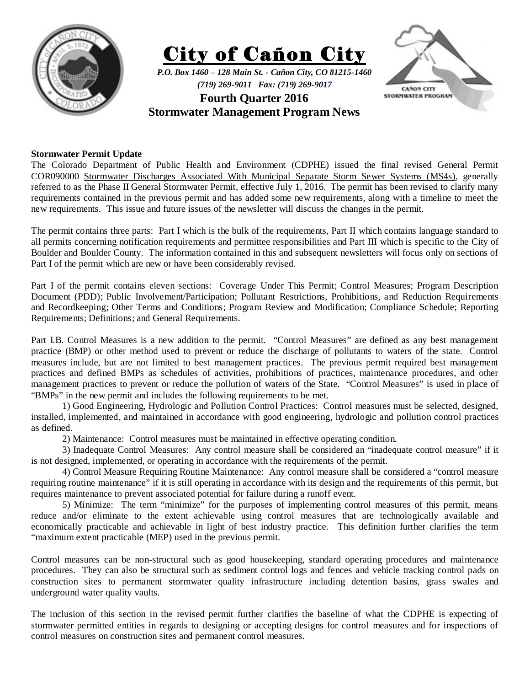





## **Stormwater Permit Update**

The Colorado Department of Public Health and Environment (CDPHE) issued the final revised General Permit COR090000 Stormwater Discharges Associated With Municipal Separate Storm Sewer Systems (MS4s), generally referred to as the Phase II General Stormwater Permit, effective July 1, 2016. The permit has been revised to clarify many requirements contained in the previous permit and has added some new requirements, along with a timeline to meet the new requirements. This issue and future issues of the newsletter will discuss the changes in the permit.

The permit contains three parts: Part I which is the bulk of the requirements, Part II which contains language standard to all permits concerning notification requirements and permittee responsibilities and Part III which is specific to the City of Boulder and Boulder County. The information contained in this and subsequent newsletters will focus only on sections of Part I of the permit which are new or have been considerably revised.

Part I of the permit contains eleven sections: Coverage Under This Permit; Control Measures; Program Description Document (PDD); Public Involvement/Participation; Pollutant Restrictions, Prohibitions, and Reduction Requirements and Recordkeeping; Other Terms and Conditions; Program Review and Modification; Compliance Schedule; Reporting Requirements; Definitions; and General Requirements.

Part I.B. Control Measures is a new addition to the permit. "Control Measures" are defined as any best management practice (BMP) or other method used to prevent or reduce the discharge of pollutants to waters of the state. Control measures include, but are not limited to best management practices. The previous permit required best management practices and defined BMPs as schedules of activities, prohibitions of practices, maintenance procedures, and other management practices to prevent or reduce the pollution of waters of the State. "Control Measures" is used in place of "BMPs" in the new permit and includes the following requirements to be met.

 1) Good Engineering, Hydrologic and Pollution Control Practices: Control measures must be selected, designed, installed, implemented, and maintained in accordance with good engineering, hydrologic and pollution control practices as defined.

2) Maintenance: Control measures must be maintained in effective operating condition.

 3) Inadequate Control Measures: Any control measure shall be considered an "inadequate control measure" if it is not designed, implemented, or operating in accordance with the requirements of the permit.

 4) Control Measure Requiring Routine Maintenance: Any control measure shall be considered a "control measure requiring routine maintenance" if it is still operating in accordance with its design and the requirements of this permit, but requires maintenance to prevent associated potential for failure during a runoff event.

 5) Minimize: The term "minimize" for the purposes of implementing control measures of this permit, means reduce and/or eliminate to the extent achievable using control measures that are technologically available and economically practicable and achievable in light of best industry practice. This definition further clarifies the term "maximum extent practicable (MEP) used in the previous permit.

Control measures can be non-structural such as good housekeeping, standard operating procedures and maintenance procedures. They can also be structural such as sediment control logs and fences and vehicle tracking control pads on construction sites to permanent stormwater quality infrastructure including detention basins, grass swales and underground water quality vaults.

The inclusion of this section in the revised permit further clarifies the baseline of what the CDPHE is expecting of stormwater permitted entities in regards to designing or accepting designs for control measures and for inspections of control measures on construction sites and permanent control measures.